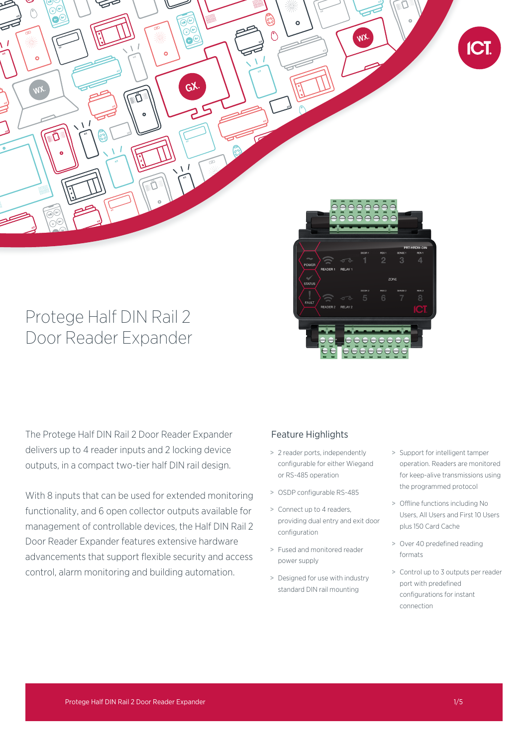

# Protege Half DIN Rail 2 Door Reader Expander

The Protege Half DIN Rail 2 Door Reader Expander delivers up to 4 reader inputs and 2 locking device outputs, in a compact two-tier half DIN rail design.

With 8 inputs that can be used for extended monitoring functionality, and 6 open collector outputs available for management of controllable devices, the Half DIN Rail 2 Door Reader Expander features extensive hardware advancements that support flexible security and access control, alarm monitoring and building automation.

# Feature Highlights

- > 2 reader ports, independently configurable for either Wiegand or RS-485 operation
- > OSDP configurable RS-485
- > Connect up to 4 readers, providing dual entry and exit door configuration
- > Fused and monitored reader power supply
- > Designed for use with industry standard DIN rail mounting
- > Support for intelligent tamper operation. Readers are monitored for keep-alive transmissions using the programmed protocol
- > Offline functions including No Users, All Users and First 10 Users plus 150 Card Cache
- > Over 40 predefined reading formats
- > Control up to 3 outputs per reader port with predefined configurations for instant connection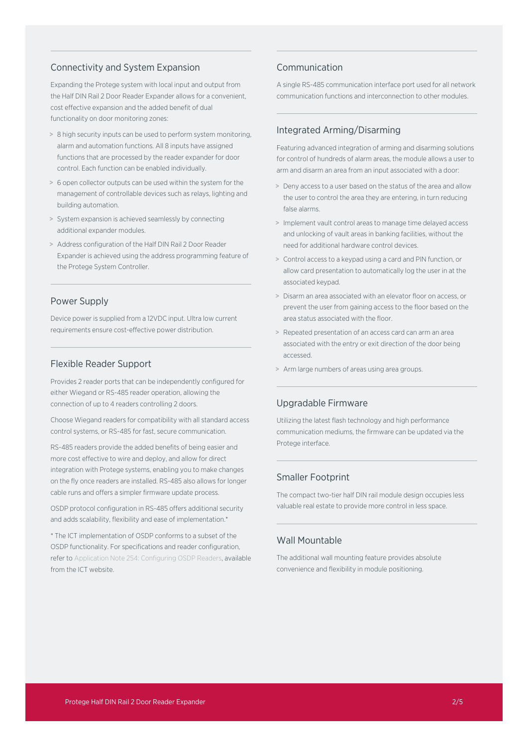## Connectivity and System Expansion

Expanding the Protege system with local input and output from the Half DIN Rail 2 Door Reader Expander allows for a convenient cost effective expansion and the added benefit of dual functionality on door monitoring zones:

- > 8 high security inputs can be used to perform system monitoring, alarm and automation functions. All 8 inputs have assigned functions that are processed by the reader expander for door control. Each function can be enabled individually.
- > 6 open collector outputs can be used within the system for the management of controllable devices such as relays, lighting and building automation.
- > System expansion is achieved seamlessly by connecting additional expander modules.
- > Address configuration of the Half DIN Rail 2 Door Reader Expander is achieved using the address programming feature of the Protege System Controller.

## Power Supply

Device power is supplied from a 12VDC input. Ultra low current requirements ensure cost-effective power distribution.

# Flexible Reader Support

Provides 2 reader ports that can be independently configured for either Wiegand or RS-485 reader operation, allowing the connection of up to 4 readers controlling 2 doors.

Choose Wiegand readers for compatibility with all standard access control systems, or RS-485 for fast, secure communication.

RS-485 readers provide the added benefits of being easier and more cost effective to wire and deploy, and allow for direct integration with Protege systems, enabling you to make changes on the fly once readers are installed. RS-485 also allows for longer cable runs and offers a simpler firmware update process.

OSDP protocol configuration in RS-485 offers additional security and adds scalability, flexibility and ease of implementation.\*

\* The ICT implementation of OSDP conforms to a subset of the OSDP functionality. For specifications and reader configuration, refer to Application Note 254: Configuring OSDP Readers, available from the ICT website.

# Communication

A single RS-485 communication interface port used for all network communication functions and interconnection to other modules.

# Integrated Arming/Disarming

Featuring advanced integration of arming and disarming solutions for control of hundreds of alarm areas, the module allows a user to arm and disarm an area from an input associated with a door:

- > Deny access to a user based on the status of the area and allow the user to control the area they are entering, in turn reducing false alarms.
- > Implement vault control areas to manage time delayed access and unlocking of vault areas in banking facilities, without the need for additional hardware control devices.
- > Control access to a keypad using a card and PIN function, or allow card presentation to automatically log the user in at the associated keypad.
- > Disarm an area associated with an elevator floor on access, or prevent the user from gaining access to the floor based on the area status associated with the floor.
- > Repeated presentation of an access card can arm an area associated with the entry or exit direction of the door being accessed.
- > Arm large numbers of areas using area groups.

# Upgradable Firmware

Utilizing the latest flash technology and high performance communication mediums, the firmware can be updated via the Protege interface.

## Smaller Footprint

The compact two-tier half DIN rail module design occupies less valuable real estate to provide more control in less space.

# Wall Mountable

The additional wall mounting feature provides absolute convenience and flexibility in module positioning.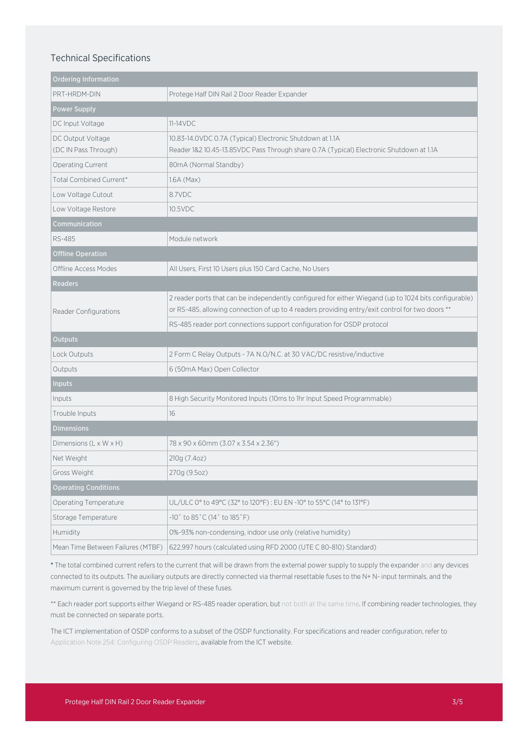# Technical Specifications

| <b>Ordering Information</b>               |                                                                                                                                                                                                          |
|-------------------------------------------|----------------------------------------------------------------------------------------------------------------------------------------------------------------------------------------------------------|
| PRT-HRDM-DIN                              | Protege Half DIN Rail 2 Door Reader Expander                                                                                                                                                             |
| <b>Power Supply</b>                       |                                                                                                                                                                                                          |
| DC Input Voltage                          | $11-14VDC$                                                                                                                                                                                               |
| DC Output Voltage<br>(DC IN Pass Through) | 10.83-14.0VDC 0.7A (Typical) Electronic Shutdown at 1.1A<br>Reader 1&2 10.45-13.85VDC Pass Through share 0.7A (Typical) Electronic Shutdown at 1.1A                                                      |
| Operating Current                         | 80mA (Normal Standby)                                                                                                                                                                                    |
| Total Combined Current*                   | $1.6A$ (Max)                                                                                                                                                                                             |
| Low Voltage Cutout                        | 8.7VDC                                                                                                                                                                                                   |
| Low Voltage Restore                       | 10.5VDC                                                                                                                                                                                                  |
| Communication                             |                                                                                                                                                                                                          |
| <b>RS-485</b>                             | Module network                                                                                                                                                                                           |
| <b>Offline Operation</b>                  |                                                                                                                                                                                                          |
| Offline Access Modes                      | All Users, First 10 Users plus 150 Card Cache, No Users                                                                                                                                                  |
| <b>Readers</b>                            |                                                                                                                                                                                                          |
| Reader Configurations                     | 2 reader ports that can be independently configured for either Wiegand (up to 1024 bits configurable)<br>or RS-485, allowing connection of up to 4 readers providing entry/exit control for two doors ** |
|                                           | RS-485 reader port connections support configuration for OSDP protocol                                                                                                                                   |
| <b>Outputs</b>                            |                                                                                                                                                                                                          |
| Lock Outputs                              | 2 Form C Relay Outputs - 7A N.O/N.C. at 30 VAC/DC resistive/inductive                                                                                                                                    |
| Outputs                                   | 6 (50mA Max) Open Collector                                                                                                                                                                              |
| <b>Inputs</b>                             |                                                                                                                                                                                                          |
| Inputs                                    | 8 High Security Monitored Inputs (10ms to 1hr Input Speed Programmable)                                                                                                                                  |
| Trouble Inputs                            | 16                                                                                                                                                                                                       |
| <b>Dimensions</b>                         |                                                                                                                                                                                                          |
| Dimensions (L x W x H)                    | 78 x 90 x 60mm (3.07 x 3.54 x 2.36")                                                                                                                                                                     |
| Net Weight                                | 210g (7.4oz)                                                                                                                                                                                             |
| Gross Weight                              | 270g (9.5oz)                                                                                                                                                                                             |
| <b>Operating Conditions</b>               |                                                                                                                                                                                                          |
| <b>Operating Temperature</b>              | UL/ULC 0° to 49°C (32° to 120°F): EU EN -10° to 55°C (14° to 131°F)                                                                                                                                      |
| Storage Temperature                       | $-10°$ to 85 $°C$ (14 $°$ to 185 $°$ F)                                                                                                                                                                  |
| Humidity                                  | 0%-93% non-condensing, indoor use only (relative humidity)                                                                                                                                               |
| Mean Time Between Failures (MTBF)         | 622,997 hours (calculated using RFD 2000 (UTE C 80-810) Standard)                                                                                                                                        |

\* The total combined current refers to the current that will be drawn from the external power supply to supply the expander and any devices connected to its outputs. The auxiliary outputs are directly connected via thermal resettable fuses to the N+ N- input terminals, and the maximum current is governed by the trip level of these fuses.

\*\* Each reader port supports either Wiegand or RS-485 reader operation, but not both at the same time. If combining reader technologies, they must be connected on separate ports.

The ICT implementation of OSDP conforms to a subset of the OSDP functionality. For specifications and reader configuration, refer to Application Note 254: Configuring OSDP Readers, available from the ICT website.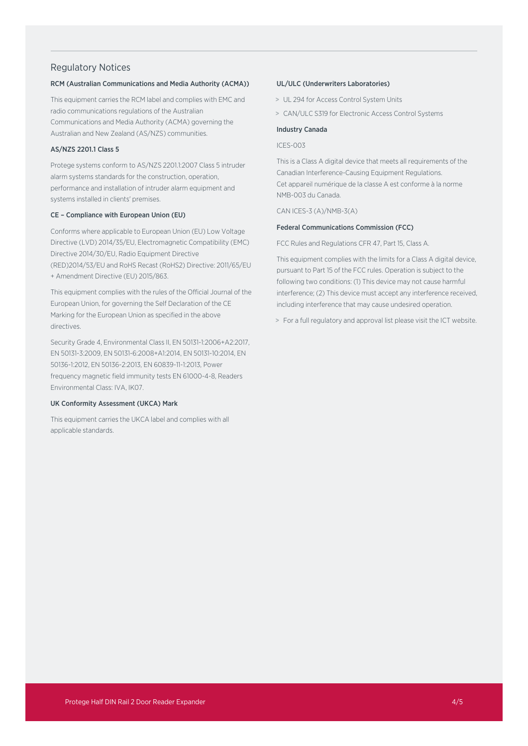## Regulatory Notices

## RCM (Australian Communications and Media Authority (ACMA))

This equipment carries the RCM label and complies with EMC and radio communications regulations of the Australian Communications and Media Authority (ACMA) governing the Australian and New Zealand (AS/NZS) communities.

## AS/NZS 2201.1 Class 5

Protege systems conform to AS/NZS 2201.1:2007 Class 5 intruder alarm systems standards for the construction, operation, performance and installation of intruder alarm equipment and systems installed in clients' premises.

#### CE – Compliance with European Union (EU)

Conforms where applicable to European Union (EU) Low Voltage Directive (LVD) 2014/35/EU, Electromagnetic Compatibility (EMC) Directive 2014/30/EU, Radio Equipment Directive (RED)2014/53/EU and RoHS Recast (RoHS2) Directive: 2011/65/EU + Amendment Directive (EU) 2015/863.

This equipment complies with the rules of the Official Journal of the European Union, for governing the Self Declaration of the CE Marking for the European Union as specified in the above directives.

Security Grade 4, Environmental Class II, EN 50131-1:2006+A2:2017, EN 50131-3:2009, EN 50131-6:2008+A1:2014, EN 50131-10:2014, EN 50136-1:2012, EN 50136-2:2013, EN 60839-11-1:2013, Power frequency magnetic field immunity tests EN 61000-4-8, Readers Environmental Class: IVA, IK07.

## UK Conformity Assessment (UKCA) Mark

This equipment carries the UKCA label and complies with all applicable standards.

### UL/ULC (Underwriters Laboratories)

- > UL 294 for Access Control System Units
- > CAN/ULC S319 for Electronic Access Control Systems

#### Industry Canada

ICES-003

This is a Class A digital device that meets all requirements of the Canadian Interference-Causing Equipment Regulations. Cet appareil numérique de la classe A est conforme à la norme NMB-003 du Canada.

CAN ICES-3 (A)/NMB-3(A)

## Federal Communications Commission (FCC)

FCC Rules and Regulations CFR 47, Part 15, Class A.

This equipment complies with the limits for a Class A digital device, pursuant to Part 15 of the FCC rules. Operation is subject to the following two conditions: (1) This device may not cause harmful interference; (2) This device must accept any interference received, including interference that may cause undesired operation.

> For a full regulatory and approval list please visit the ICT website.